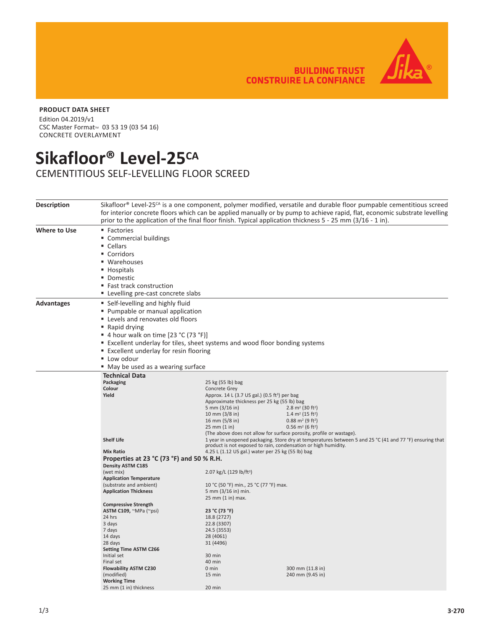**BUILDING TRUST CONSTRUIRE LA CONFIANCE** 



## **PRODUCT DATA SHEET**

Edition 04.2019/v1 CSC Master Format<sup>™</sup> 03 53 19 (03 54 16) CONCRETE OVERLAYMENT

## **Sikafloor® Level-25CA**

CEMENTITIOUS SELF-LEVELLING FLOOR SCREED

| <b>Description</b> | Sikafloor® Level-25 <sup>cA</sup> is a one component, polymer modified, versatile and durable floor pumpable cementitious screed<br>for interior concrete floors which can be applied manually or by pump to achieve rapid, flat, economic substrate levelling<br>prior to the application of the final floor finish. Typical application thickness 5 - 25 mm (3/16 - 1 in). |                                                                                                                                                     |                                                                                                                                                                                                                                                                                                        |  |  |  |
|--------------------|------------------------------------------------------------------------------------------------------------------------------------------------------------------------------------------------------------------------------------------------------------------------------------------------------------------------------------------------------------------------------|-----------------------------------------------------------------------------------------------------------------------------------------------------|--------------------------------------------------------------------------------------------------------------------------------------------------------------------------------------------------------------------------------------------------------------------------------------------------------|--|--|--|
| Where to Use       | • Factories<br>" Commercial buildings<br>• Cellars<br>• Corridors<br>■ Warehouses<br>■ Hospitals<br>• Domestic<br>■ Fast track construction<br>" Levelling pre-cast concrete slabs                                                                                                                                                                                           |                                                                                                                                                     |                                                                                                                                                                                                                                                                                                        |  |  |  |
| <b>Advantages</b>  | • Self-levelling and highly fluid<br>• Pumpable or manual application<br>Levels and renovates old floors<br>■ Rapid drying<br>■ 4 hour walk on time [23 °C (73 °F)]<br>Excellent underlay for tiles, sheet systems and wood floor bonding systems<br>■ Excellent underlay for resin flooring<br>" Low odour<br>■ May be used as a wearing surface                            |                                                                                                                                                     |                                                                                                                                                                                                                                                                                                        |  |  |  |
|                    | <b>Technical Data</b><br>Packaging                                                                                                                                                                                                                                                                                                                                           | 25 kg (55 lb) bag                                                                                                                                   |                                                                                                                                                                                                                                                                                                        |  |  |  |
|                    | Colour<br>Yield                                                                                                                                                                                                                                                                                                                                                              | Concrete Grey<br>Approx. 14 L (3.7 US gal.) (0.5 ft <sup>3</sup> ) per bag<br>5 mm (3/16 in)<br>10 mm $(3/8)$ in)<br>16 mm (5/8 in)<br>25 mm (1 in) | Approximate thickness per 25 kg (55 lb) bag<br>$2.8 \text{ m}^2$ (30 ft <sup>2</sup> )<br>1.4 m <sup>2</sup> (15 ft <sup>2</sup> )<br>$0.88$ m <sup>2</sup> (9 ft <sup>2</sup> )<br>$0.56$ m <sup>2</sup> (6 ft <sup>2</sup> )<br>(The above does not allow for surface porosity, profile or wastage). |  |  |  |
|                    | <b>Shelf Life</b>                                                                                                                                                                                                                                                                                                                                                            |                                                                                                                                                     | 1 year in unopened packaging. Store dry at temperatures between 5 and 25 °C (41 and 77 °F) ensuring that<br>product is not exposed to rain, condensation or high humidity.                                                                                                                             |  |  |  |
|                    | <b>Mix Ratio</b><br>4.25 L (1.12 US gal.) water per 25 kg (55 lb) bag<br>Properties at 23 °C (73 °F) and 50 % R.H.<br><b>Density ASTM C185</b>                                                                                                                                                                                                                               |                                                                                                                                                     |                                                                                                                                                                                                                                                                                                        |  |  |  |
|                    | (wet mix)<br><b>Application Temperature</b>                                                                                                                                                                                                                                                                                                                                  | 2.07 kg/L (129 lb/ft <sup>3</sup> )                                                                                                                 |                                                                                                                                                                                                                                                                                                        |  |  |  |
|                    | (substrate and ambient)<br><b>Application Thickness</b>                                                                                                                                                                                                                                                                                                                      | 10 °C (50 °F) min., 25 °C (77 °F) max.<br>5 mm (3/16 in) min.<br>25 mm (1 in) max.                                                                  |                                                                                                                                                                                                                                                                                                        |  |  |  |
|                    | <b>Compressive Strength</b>                                                                                                                                                                                                                                                                                                                                                  |                                                                                                                                                     |                                                                                                                                                                                                                                                                                                        |  |  |  |
|                    | ASTM C109, ~MPa (~psi)                                                                                                                                                                                                                                                                                                                                                       | 23 °C (73 °F)                                                                                                                                       |                                                                                                                                                                                                                                                                                                        |  |  |  |
|                    | 24 hrs                                                                                                                                                                                                                                                                                                                                                                       | 18.8 (2727)                                                                                                                                         |                                                                                                                                                                                                                                                                                                        |  |  |  |
|                    | 3 days<br>7 days                                                                                                                                                                                                                                                                                                                                                             | 22.8 (3307)<br>24.5 (3553)                                                                                                                          |                                                                                                                                                                                                                                                                                                        |  |  |  |
|                    | 14 days                                                                                                                                                                                                                                                                                                                                                                      | 28 (4061)                                                                                                                                           |                                                                                                                                                                                                                                                                                                        |  |  |  |
|                    | 28 days                                                                                                                                                                                                                                                                                                                                                                      | 31 (4496)                                                                                                                                           |                                                                                                                                                                                                                                                                                                        |  |  |  |
|                    | <b>Setting Time ASTM C266</b>                                                                                                                                                                                                                                                                                                                                                |                                                                                                                                                     |                                                                                                                                                                                                                                                                                                        |  |  |  |
|                    | Initial set                                                                                                                                                                                                                                                                                                                                                                  | 30 min                                                                                                                                              |                                                                                                                                                                                                                                                                                                        |  |  |  |
|                    | Final set                                                                                                                                                                                                                                                                                                                                                                    | 40 min                                                                                                                                              |                                                                                                                                                                                                                                                                                                        |  |  |  |
|                    | <b>Flowability ASTM C230</b>                                                                                                                                                                                                                                                                                                                                                 | $0 \text{ min}$                                                                                                                                     | 300 mm (11.8 in)                                                                                                                                                                                                                                                                                       |  |  |  |
|                    | (modified)                                                                                                                                                                                                                                                                                                                                                                   | 15 min                                                                                                                                              | 240 mm (9.45 in)                                                                                                                                                                                                                                                                                       |  |  |  |
|                    | <b>Working Time</b>                                                                                                                                                                                                                                                                                                                                                          |                                                                                                                                                     |                                                                                                                                                                                                                                                                                                        |  |  |  |
|                    | 25 mm (1 in) thickness                                                                                                                                                                                                                                                                                                                                                       | 20 min                                                                                                                                              |                                                                                                                                                                                                                                                                                                        |  |  |  |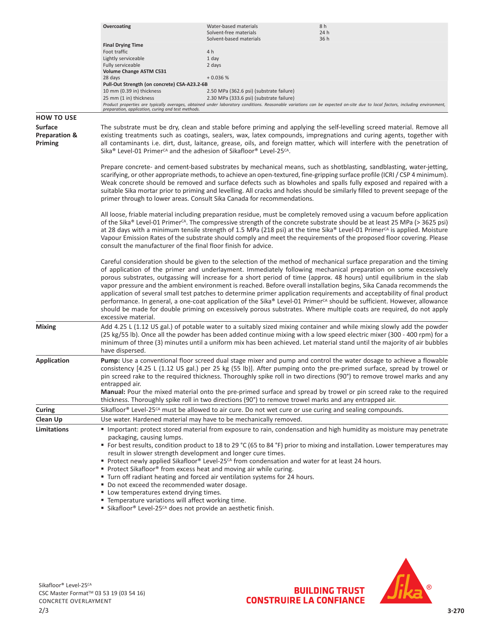|                                                       | Overcoating                                                                                                                                                                                                                                                                                                                                                                                                                                                                                                                                                                                                                                                                                                                                                                                                                                                                                                    | Water-based materials<br>Solvent-free materials<br>Solvent-based materials | 8 h<br>24 h<br>36 h                                                                                                                                                         |  |  |  |
|-------------------------------------------------------|----------------------------------------------------------------------------------------------------------------------------------------------------------------------------------------------------------------------------------------------------------------------------------------------------------------------------------------------------------------------------------------------------------------------------------------------------------------------------------------------------------------------------------------------------------------------------------------------------------------------------------------------------------------------------------------------------------------------------------------------------------------------------------------------------------------------------------------------------------------------------------------------------------------|----------------------------------------------------------------------------|-----------------------------------------------------------------------------------------------------------------------------------------------------------------------------|--|--|--|
|                                                       | <b>Final Drying Time</b>                                                                                                                                                                                                                                                                                                                                                                                                                                                                                                                                                                                                                                                                                                                                                                                                                                                                                       |                                                                            |                                                                                                                                                                             |  |  |  |
|                                                       | Foot traffic                                                                                                                                                                                                                                                                                                                                                                                                                                                                                                                                                                                                                                                                                                                                                                                                                                                                                                   | 4 h<br>1 day                                                               |                                                                                                                                                                             |  |  |  |
|                                                       | Lightly serviceable<br>Fully serviceable                                                                                                                                                                                                                                                                                                                                                                                                                                                                                                                                                                                                                                                                                                                                                                                                                                                                       | 2 days                                                                     |                                                                                                                                                                             |  |  |  |
|                                                       | <b>Volume Change ASTM C531</b>                                                                                                                                                                                                                                                                                                                                                                                                                                                                                                                                                                                                                                                                                                                                                                                                                                                                                 |                                                                            |                                                                                                                                                                             |  |  |  |
|                                                       | 28 days                                                                                                                                                                                                                                                                                                                                                                                                                                                                                                                                                                                                                                                                                                                                                                                                                                                                                                        | $+0.036%$                                                                  |                                                                                                                                                                             |  |  |  |
|                                                       | Pull-Out Strength (on concrete) CSA-A23.2-6B<br>10 mm (0.39 in) thickness                                                                                                                                                                                                                                                                                                                                                                                                                                                                                                                                                                                                                                                                                                                                                                                                                                      | 2.50 MPa (362.6 psi) (substrate failure)                                   |                                                                                                                                                                             |  |  |  |
|                                                       | 25 mm (1 in) thickness                                                                                                                                                                                                                                                                                                                                                                                                                                                                                                                                                                                                                                                                                                                                                                                                                                                                                         | 2.30 MPa (333.6 psi) (substrate failure)                                   | Product properties are typically averages, obtained under laboratory conditions. Reasonable variations can be expected on-site due to local factors, including environment, |  |  |  |
| <b>HOW TO USE</b>                                     | preparation, application, curing and test methods.                                                                                                                                                                                                                                                                                                                                                                                                                                                                                                                                                                                                                                                                                                                                                                                                                                                             |                                                                            |                                                                                                                                                                             |  |  |  |
| <b>Surface</b><br><b>Preparation &amp;</b><br>Priming | The substrate must be dry, clean and stable before priming and applying the self-levelling screed material. Remove all<br>existing treatments such as coatings, sealers, wax, latex compounds, impregnations and curing agents, together with<br>all contaminants i.e. dirt, dust, laitance, grease, oils, and foreign matter, which will interfere with the penetration of<br>Sika <sup>®</sup> Level-01 Primer <sup>CA</sup> and the adhesion of Sikafloor <sup>®</sup> Level-25 <sup>CA</sup> .                                                                                                                                                                                                                                                                                                                                                                                                             |                                                                            |                                                                                                                                                                             |  |  |  |
|                                                       | Prepare concrete- and cement-based substrates by mechanical means, such as shotblasting, sandblasting, water-jetting,<br>scarifying, or other appropriate methods, to achieve an open-textured, fine-gripping surface profile (ICRI/CSP 4 minimum).<br>Weak concrete should be removed and surface defects such as blowholes and spalls fully exposed and repaired with a<br>suitable Sika mortar prior to priming and levelling. All cracks and holes should be similarly filled to prevent seepage of the<br>primer through to lower areas. Consult Sika Canada for recommendations.                                                                                                                                                                                                                                                                                                                         |                                                                            |                                                                                                                                                                             |  |  |  |
|                                                       | All loose, friable material including preparation residue, must be completely removed using a vacuum before application<br>of the Sika® Level-01 Primer <sup>cA</sup> . The compressive strength of the concrete substrate should be at least 25 MPa (> 3625 psi)<br>at 28 days with a minimum tensile strength of 1.5 MPa (218 psi) at the time Sika® Level-01 Primer <sup>cA</sup> is applied. Moisture<br>Vapour Emission Rates of the substrate should comply and meet the requirements of the proposed floor covering. Please<br>consult the manufacturer of the final floor finish for advice.                                                                                                                                                                                                                                                                                                           |                                                                            |                                                                                                                                                                             |  |  |  |
|                                                       | Careful consideration should be given to the selection of the method of mechanical surface preparation and the timing<br>of application of the primer and underlayment. Immediately following mechanical preparation on some excessively<br>porous substrates, outgassing will increase for a short period of time (approx. 48 hours) until equilibrium in the slab<br>vapor pressure and the ambient environment is reached. Before overall installation begins, Sika Canada recommends the<br>application of several small test patches to determine primer application requirements and acceptability of final product<br>performance. In general, a one-coat application of the Sika® Level-01 Primer <sup>cA</sup> should be sufficient. However, allowance<br>should be made for double priming on excessively porous substrates. Where multiple coats are required, do not apply<br>excessive material. |                                                                            |                                                                                                                                                                             |  |  |  |
| <b>Mixing</b>                                         | Add 4.25 L (1.12 US gal.) of potable water to a suitably sized mixing container and while mixing slowly add the powder<br>(25 kg/55 lb). Once all the powder has been added continue mixing with a low speed electric mixer (300 - 400 rpm) for a<br>minimum of three (3) minutes until a uniform mix has been achieved. Let material stand until the majority of air bubbles<br>have dispersed.                                                                                                                                                                                                                                                                                                                                                                                                                                                                                                               |                                                                            |                                                                                                                                                                             |  |  |  |
| Application                                           | Pump: Use a conventional floor screed dual stage mixer and pump and control the water dosage to achieve a flowable<br>consistency [4.25 L (1.12 US gal.) per 25 kg (55 lb)]. After pumping onto the pre-primed surface, spread by trowel or<br>pin screed rake to the required thickness. Thoroughly spike roll in two directions (90°) to remove trowel marks and any<br>entrapped air.<br>Manual: Pour the mixed material onto the pre-primed surface and spread by trowel or pin screed rake to the required<br>thickness. Thoroughly spike roll in two directions (90°) to remove trowel marks and any entrapped air.                                                                                                                                                                                                                                                                                      |                                                                            |                                                                                                                                                                             |  |  |  |
| <b>Curing</b>                                         |                                                                                                                                                                                                                                                                                                                                                                                                                                                                                                                                                                                                                                                                                                                                                                                                                                                                                                                |                                                                            |                                                                                                                                                                             |  |  |  |
| <b>Clean Up</b>                                       | Sikafloor® Level-25 <sup>cA</sup> must be allowed to air cure. Do not wet cure or use curing and sealing compounds.<br>Use water. Hardened material may have to be mechanically removed.                                                                                                                                                                                                                                                                                                                                                                                                                                                                                                                                                                                                                                                                                                                       |                                                                            |                                                                                                                                                                             |  |  |  |
| <b>Limitations</b>                                    |                                                                                                                                                                                                                                                                                                                                                                                                                                                                                                                                                                                                                                                                                                                                                                                                                                                                                                                |                                                                            | Important: protect stored material from exposure to rain, condensation and high humidity as moisture may penetrate                                                          |  |  |  |
|                                                       | packaging, causing lumps.<br>■ For best results, condition product to 18 to 29 °C (65 to 84 °F) prior to mixing and installation. Lower temperatures may<br>result in slower strength development and longer cure times.<br>Protect newly applied Sikafloor® Level-25 <sup>CA</sup> from condensation and water for at least 24 hours.<br>" Protect Sikafloor® from excess heat and moving air while curing.<br>" Turn off radiant heating and forced air ventilation systems for 24 hours.<br>■ Do not exceed the recommended water dosage.<br>" Low temperatures extend drying times.                                                                                                                                                                                                                                                                                                                        |                                                                            |                                                                                                                                                                             |  |  |  |
|                                                       | " Temperature variations will affect working time.                                                                                                                                                                                                                                                                                                                                                                                                                                                                                                                                                                                                                                                                                                                                                                                                                                                             |                                                                            |                                                                                                                                                                             |  |  |  |

■ Sikafloor® Level-25<sup>cA</sup> does not provide an aesthetic finish.



BUILDING TRUST<br>CONSTRUIRE LA CONFIANCE